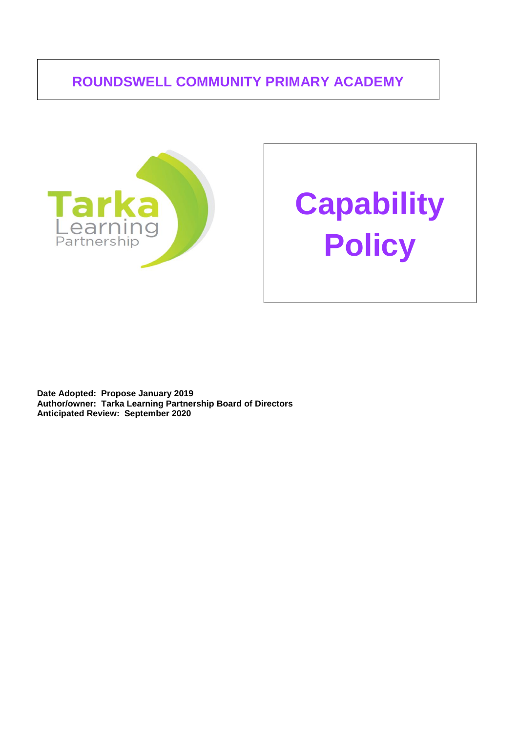## **ROUNDSWELL COMMUNITY PRIMARY ACADEMY**



# **Capability Policy**

**Date Adopted: Propose January 2019 Author/owner: Tarka Learning Partnership Board of Directors Anticipated Review: September 2020**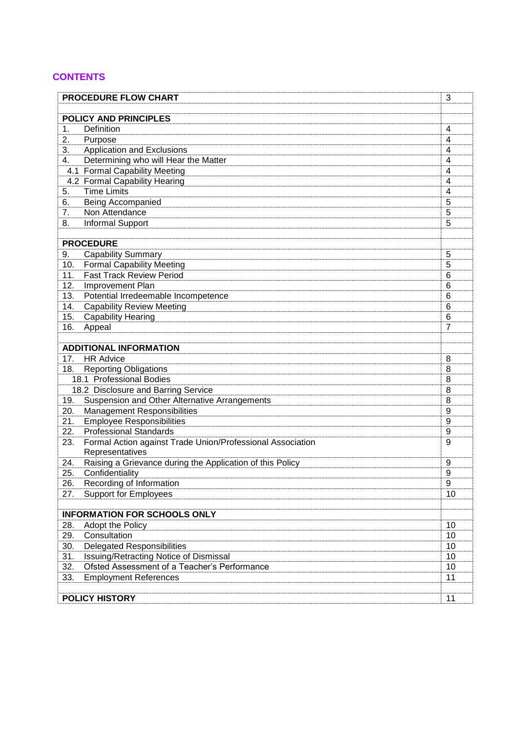## **CONTENTS**

| <b>PROCEDURE FLOW CHART</b>         |                                                                           | 3      |
|-------------------------------------|---------------------------------------------------------------------------|--------|
|                                     |                                                                           |        |
| <b>POLICY AND PRINCIPLES</b>        |                                                                           |        |
| 1.                                  | Definition                                                                | 4      |
| 2.<br>3.                            | Purpose                                                                   | 4      |
| 4.                                  | <b>Application and Exclusions</b><br>Determining who will Hear the Matter | 4<br>4 |
|                                     | 4.1 Formal Capability Meeting                                             | 4      |
|                                     | 4.2 Formal Capability Hearing                                             | 4      |
| 5.                                  | <b>Time Limits</b>                                                        | 4      |
| 6.                                  | Being Accompanied                                                         | 5      |
| 7.                                  | Non Attendance                                                            | 5      |
| 8.                                  | Informal Support                                                          | 5      |
|                                     |                                                                           |        |
| <b>PROCEDURE</b>                    |                                                                           |        |
| 9.                                  | <b>Capability Summary</b>                                                 | 5      |
| 10.                                 | <b>Formal Capability Meeting</b>                                          | 5      |
| 11.                                 | <b>Fast Track Review Period</b>                                           | 6      |
| 12.                                 | Improvement Plan                                                          | 6      |
| 13.                                 | Potential Irredeemable Incompetence                                       | 6      |
| 14.                                 | <b>Capability Review Meeting</b>                                          | 6      |
| 15.                                 | <b>Capability Hearing</b>                                                 | 6      |
| 16.                                 | Appeal                                                                    | 7      |
|                                     |                                                                           |        |
| <b>ADDITIONAL INFORMATION</b>       |                                                                           |        |
| 17.                                 | <b>HR Advice</b>                                                          | 8      |
| 18.                                 | <b>Reporting Obligations</b>                                              | 8      |
|                                     | 18.1 Professional Bodies                                                  | 8      |
| 18.2 Disclosure and Barring Service |                                                                           | 8      |
| 19.                                 | Suspension and Other Alternative Arrangements                             | 8      |
| 20.                                 | <b>Management Responsibilities</b>                                        | 9      |
| 21.                                 | <b>Employee Responsibilities</b>                                          | 9      |
| 22.                                 | <b>Professional Standards</b>                                             | 9      |
| 23.                                 | Formal Action against Trade Union/Professional Association                | 9      |
|                                     | Representatives                                                           |        |
| 24.                                 | Raising a Grievance during the Application of this Policy                 | 9      |
| 25.                                 | Confidentiality                                                           | 9      |
| 26.                                 | Recording of Information                                                  | 9      |
| 27.                                 | <b>Support for Employees</b>                                              | 10     |
|                                     |                                                                           |        |
| <b>INFORMATION FOR SCHOOLS ONLY</b> |                                                                           |        |
| 28.                                 | Adopt the Policy                                                          | 10     |
| 29.                                 | Consultation                                                              | 10     |
| 30.                                 | <b>Delegated Responsibilities</b>                                         | 10     |
| 31.                                 | Issuing/Retracting Notice of Dismissal                                    | 10     |
| 32.                                 | Ofsted Assessment of a Teacher's Performance                              | 10     |
| 33.                                 | <b>Employment References</b>                                              | 11     |
|                                     |                                                                           |        |
| <b>POLICY HISTORY</b>               |                                                                           | 11     |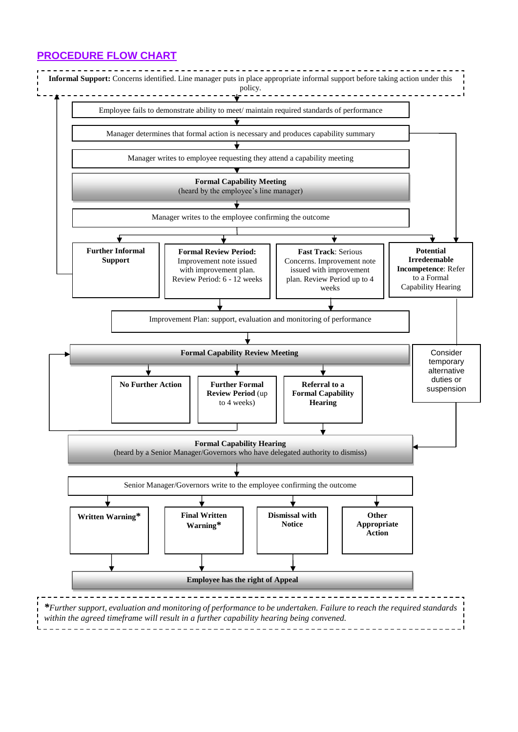## **PROCEDURE FLOW CHART**

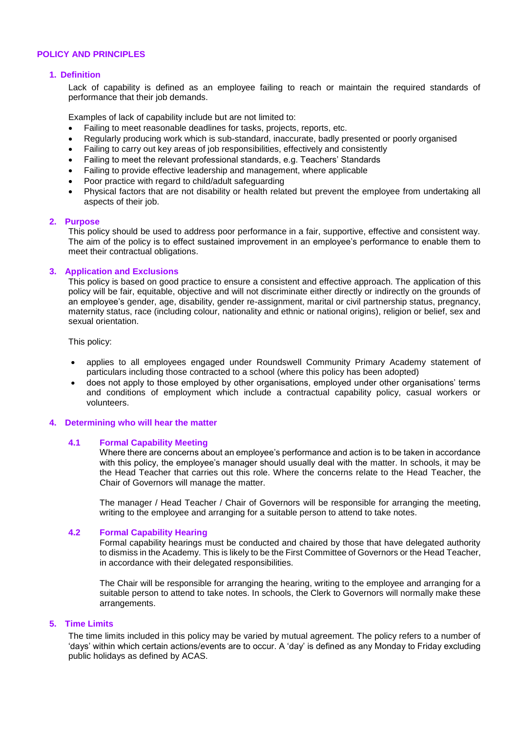## **POLICY AND PRINCIPLES**

## **1. Definition**

Lack of capability is defined as an employee failing to reach or maintain the required standards of performance that their job demands.

Examples of lack of capability include but are not limited to:

- Failing to meet reasonable deadlines for tasks, projects, reports, etc.
- Regularly producing work which is sub-standard, inaccurate, badly presented or poorly organised
- Failing to carry out key areas of job responsibilities, effectively and consistently
- Failing to meet the relevant professional standards, e.g. Teachers' Standards
- Failing to provide effective leadership and management, where applicable
- Poor practice with regard to child/adult safeguarding
- Physical factors that are not disability or health related but prevent the employee from undertaking all aspects of their job.

## **2. Purpose**

This policy should be used to address poor performance in a fair, supportive, effective and consistent way. The aim of the policy is to effect sustained improvement in an employee's performance to enable them to meet their contractual obligations.

## **3. Application and Exclusions**

This policy is based on good practice to ensure a consistent and effective approach. The application of this policy will be fair, equitable, objective and will not discriminate either directly or indirectly on the grounds of an employee's gender, age, disability, gender re-assignment, marital or civil partnership status, pregnancy, maternity status, race (including colour, nationality and ethnic or national origins), religion or belief, sex and sexual orientation.

This policy:

- applies to all employees engaged under Roundswell Community Primary Academy statement of particulars including those contracted to a school (where this policy has been adopted)
- does not apply to those employed by other organisations, employed under other organisations' terms and conditions of employment which include a contractual capability policy, casual workers or volunteers.

## **4. Determining who will hear the matter**

## **4.1 Formal Capability Meeting**

Where there are concerns about an employee's performance and action is to be taken in accordance with this policy, the employee's manager should usually deal with the matter. In schools, it may be the Head Teacher that carries out this role. Where the concerns relate to the Head Teacher, the Chair of Governors will manage the matter.

The manager / Head Teacher / Chair of Governors will be responsible for arranging the meeting, writing to the employee and arranging for a suitable person to attend to take notes.

## **4.2 Formal Capability Hearing**

Formal capability hearings must be conducted and chaired by those that have delegated authority to dismiss in the Academy. This is likely to be the First Committee of Governors or the Head Teacher, in accordance with their delegated responsibilities.

The Chair will be responsible for arranging the hearing, writing to the employee and arranging for a suitable person to attend to take notes. In schools, the Clerk to Governors will normally make these arrangements.

## **5. Time Limits**

The time limits included in this policy may be varied by mutual agreement. The policy refers to a number of 'days' within which certain actions/events are to occur. A 'day' is defined as any Monday to Friday excluding public holidays as defined by ACAS.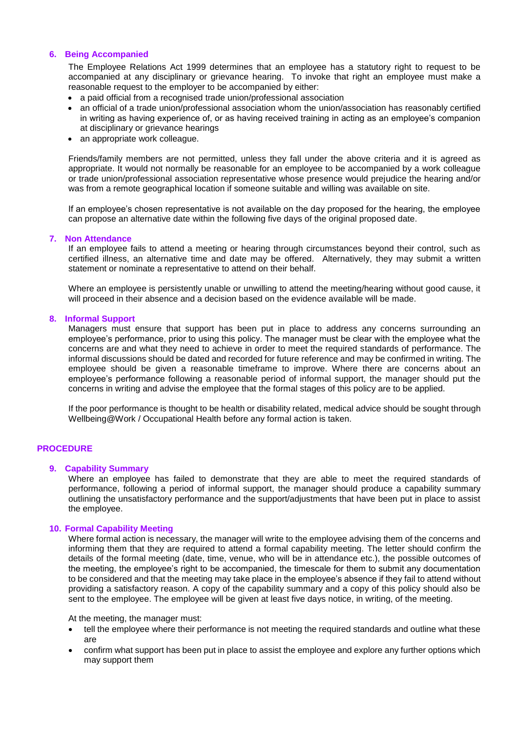## **6. Being Accompanied**

The Employee Relations Act 1999 determines that an employee has a statutory right to request to be accompanied at any disciplinary or grievance hearing. To invoke that right an employee must make a reasonable request to the employer to be accompanied by either:

- a paid official from a recognised trade union/professional association
- an official of a trade union/professional association whom the union/association has reasonably certified in writing as having experience of, or as having received training in acting as an employee's companion at disciplinary or grievance hearings
- an appropriate work colleague.

Friends/family members are not permitted, unless they fall under the above criteria and it is agreed as appropriate. It would not normally be reasonable for an employee to be accompanied by a work colleague or trade union/professional association representative whose presence would prejudice the hearing and/or was from a remote geographical location if someone suitable and willing was available on site.

If an employee's chosen representative is not available on the day proposed for the hearing, the employee can propose an alternative date within the following five days of the original proposed date.

## **7. Non Attendance**

If an employee fails to attend a meeting or hearing through circumstances beyond their control, such as certified illness, an alternative time and date may be offered. Alternatively, they may submit a written statement or nominate a representative to attend on their behalf.

Where an employee is persistently unable or unwilling to attend the meeting/hearing without good cause, it will proceed in their absence and a decision based on the evidence available will be made.

## **8. Informal Support**

Managers must ensure that support has been put in place to address any concerns surrounding an employee's performance, prior to using this policy. The manager must be clear with the employee what the concerns are and what they need to achieve in order to meet the required standards of performance. The informal discussions should be dated and recorded for future reference and may be confirmed in writing. The employee should be given a reasonable timeframe to improve. Where there are concerns about an employee's performance following a reasonable period of informal support, the manager should put the concerns in writing and advise the employee that the formal stages of this policy are to be applied.

If the poor performance is thought to be health or disability related, medical advice should be sought through Wellbeing@Work / Occupational Health before any formal action is taken.

## **PROCEDURE**

## **9. Capability Summary**

Where an employee has failed to demonstrate that they are able to meet the required standards of performance, following a period of informal support, the manager should produce a capability summary outlining the unsatisfactory performance and the support/adjustments that have been put in place to assist the employee.

## **10. Formal Capability Meeting**

Where formal action is necessary, the manager will write to the employee advising them of the concerns and informing them that they are required to attend a formal capability meeting. The letter should confirm the details of the formal meeting (date, time, venue, who will be in attendance etc.), the possible outcomes of the meeting, the employee's right to be accompanied, the timescale for them to submit any documentation to be considered and that the meeting may take place in the employee's absence if they fail to attend without providing a satisfactory reason. A copy of the capability summary and a copy of this policy should also be sent to the employee. The employee will be given at least five days notice, in writing, of the meeting.

At the meeting, the manager must:

- tell the employee where their performance is not meeting the required standards and outline what these are
- confirm what support has been put in place to assist the employee and explore any further options which may support them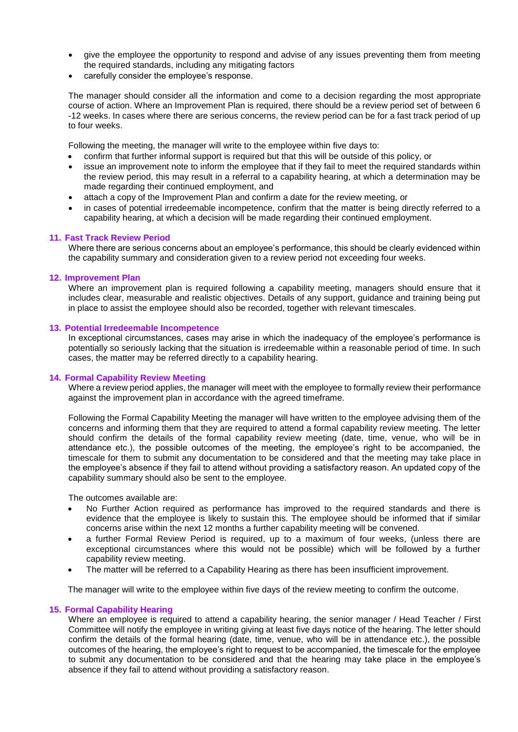- give the employee the opportunity to respond and advise of any issues preventing them from meeting the required standards, including any mitigating factors
- carefully consider the employee's response.

The manager should consider all the information and come to a decision regarding the most appropriate course of action. Where an Improvement Plan is required, there should be a review period set of between 6 -12 weeks. In cases where there are serious concerns, the review period can be for a fast track period of up to four weeks.

Following the meeting, the manager will write to the employee within five days to:

- confirm that further informal support is required but that this will be outside of this policy, or
- issue an improvement note to inform the employee that if they fail to meet the required standards within the review period, this may result in a referral to a capability hearing, at which a determination may be made regarding their continued employment, and
- attach a copy of the Improvement Plan and confirm a date for the review meeting, or
- in cases of potential irredeemable incompetence, confirm that the matter is being directly referred to a capability hearing, at which a decision will be made regarding their continued employment.

## **11. Fast Track Review Period**

Where there are serious concerns about an employee's performance, this should be clearly evidenced within the capability summary and consideration given to a review period not exceeding four weeks.

## **12. Improvement Plan**

Where an improvement plan is required following a capability meeting, managers should ensure that it includes clear, measurable and realistic objectives. Details of any support, guidance and training being put in place to assist the employee should also be recorded, together with relevant timescales.

## **13. Potential Irredeemable Incompetence**

In exceptional circumstances, cases may arise in which the inadequacy of the employee's performance is potentially so seriously lacking that the situation is irredeemable within a reasonable period of time. In such cases, the matter may be referred directly to a capability hearing.

## **14. Formal Capability Review Meeting**

Where a review period applies, the manager will meet with the employee to formally review their performance against the improvement plan in accordance with the agreed timeframe.

Following the Formal Capability Meeting the manager will have written to the employee advising them of the concerns and informing them that they are required to attend a formal capability review meeting. The letter should confirm the details of the formal capability review meeting (date, time, venue, who will be in attendance etc.), the possible outcomes of the meeting, the employee's right to be accompanied, the timescale for them to submit any documentation to be considered and that the meeting may take place in the employee's absence if they fail to attend without providing a satisfactory reason. An updated copy of the capability summary should also be sent to the employee.

The outcomes available are:

- No Further Action required as performance has improved to the required standards and there is evidence that the employee is likely to sustain this. The employee should be informed that if similar concerns arise within the next 12 months a further capability meeting will be convened.
- a further Formal Review Period is required, up to a maximum of four weeks, (unless there are exceptional circumstances where this would not be possible) which will be followed by a further capability review meeting.
- The matter will be referred to a Capability Hearing as there has been insufficient improvement.

The manager will write to the employee within five days of the review meeting to confirm the outcome.

## **15. Formal Capability Hearing**

Where an employee is required to attend a capability hearing, the senior manager / Head Teacher / First Committee will notify the employee in writing giving at least five days notice of the hearing. The letter should confirm the details of the formal hearing (date, time, venue, who will be in attendance etc.), the possible outcomes of the hearing, the employee's right to request to be accompanied, the timescale for the employee to submit any documentation to be considered and that the hearing may take place in the employee's absence if they fail to attend without providing a satisfactory reason.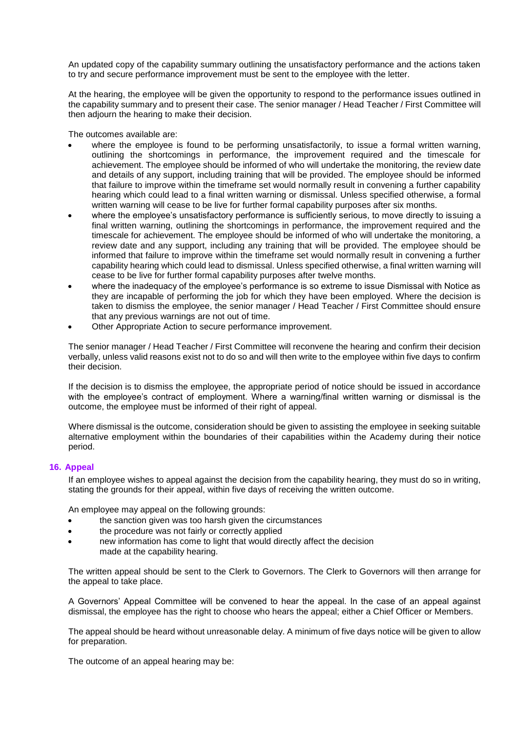An updated copy of the capability summary outlining the unsatisfactory performance and the actions taken to try and secure performance improvement must be sent to the employee with the letter.

At the hearing, the employee will be given the opportunity to respond to the performance issues outlined in the capability summary and to present their case. The senior manager / Head Teacher / First Committee will then adjourn the hearing to make their decision.

The outcomes available are:

- where the employee is found to be performing unsatisfactorily, to issue a formal written warning, outlining the shortcomings in performance, the improvement required and the timescale for achievement. The employee should be informed of who will undertake the monitoring, the review date and details of any support, including training that will be provided. The employee should be informed that failure to improve within the timeframe set would normally result in convening a further capability hearing which could lead to a final written warning or dismissal. Unless specified otherwise, a formal written warning will cease to be live for further formal capability purposes after six months.
- where the employee's unsatisfactory performance is sufficiently serious, to move directly to issuing a final written warning, outlining the shortcomings in performance, the improvement required and the timescale for achievement. The employee should be informed of who will undertake the monitoring, a review date and any support, including any training that will be provided. The employee should be informed that failure to improve within the timeframe set would normally result in convening a further capability hearing which could lead to dismissal. Unless specified otherwise, a final written warning will cease to be live for further formal capability purposes after twelve months.
- where the inadequacy of the employee's performance is so extreme to issue Dismissal with Notice as they are incapable of performing the job for which they have been employed. Where the decision is taken to dismiss the employee, the senior manager / Head Teacher / First Committee should ensure that any previous warnings are not out of time.
- Other Appropriate Action to secure performance improvement.

The senior manager / Head Teacher / First Committee will reconvene the hearing and confirm their decision verbally, unless valid reasons exist not to do so and will then write to the employee within five days to confirm their decision.

If the decision is to dismiss the employee, the appropriate period of notice should be issued in accordance with the employee's contract of employment. Where a warning/final written warning or dismissal is the outcome, the employee must be informed of their right of appeal.

Where dismissal is the outcome, consideration should be given to assisting the employee in seeking suitable alternative employment within the boundaries of their capabilities within the Academy during their notice period.

## **16. Appeal**

If an employee wishes to appeal against the decision from the capability hearing, they must do so in writing, stating the grounds for their appeal, within five days of receiving the written outcome.

An employee may appeal on the following grounds:

- the sanction given was too harsh given the circumstances
- the procedure was not fairly or correctly applied
- new information has come to light that would directly affect the decision made at the capability hearing.

The written appeal should be sent to the Clerk to Governors. The Clerk to Governors will then arrange for the appeal to take place.

A Governors' Appeal Committee will be convened to hear the appeal. In the case of an appeal against dismissal, the employee has the right to choose who hears the appeal; either a Chief Officer or Members.

The appeal should be heard without unreasonable delay. A minimum of five days notice will be given to allow for preparation.

The outcome of an appeal hearing may be: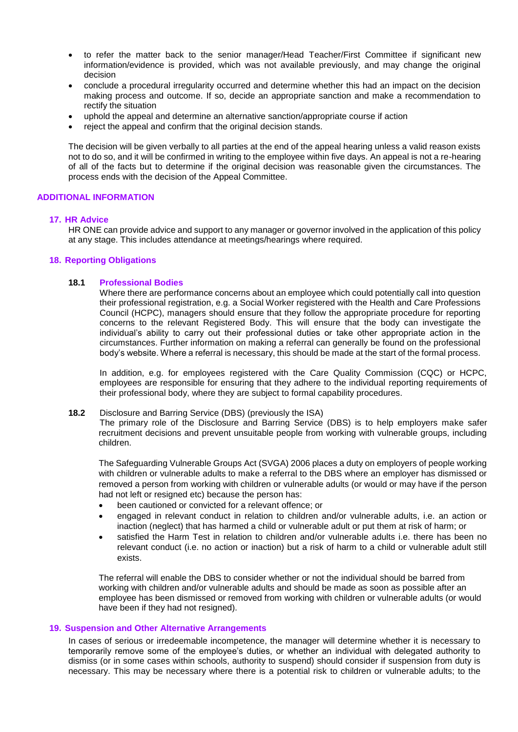- to refer the matter back to the senior manager/Head Teacher/First Committee if significant new information/evidence is provided, which was not available previously, and may change the original decision
- conclude a procedural irregularity occurred and determine whether this had an impact on the decision making process and outcome. If so, decide an appropriate sanction and make a recommendation to rectify the situation
- uphold the appeal and determine an alternative sanction/appropriate course if action
- reject the appeal and confirm that the original decision stands.

The decision will be given verbally to all parties at the end of the appeal hearing unless a valid reason exists not to do so, and it will be confirmed in writing to the employee within five days. An appeal is not a re-hearing of all of the facts but to determine if the original decision was reasonable given the circumstances. The process ends with the decision of the Appeal Committee.

## **ADDITIONAL INFORMATION**

## **17. HR Advice**

HR ONE can provide advice and support to any manager or governor involved in the application of this policy at any stage. This includes attendance at meetings/hearings where required.

## **18. Reporting Obligations**

## **18.1 Professional Bodies**

Where there are performance concerns about an employee which could potentially call into question their professional registration, e.g. a Social Worker registered with the Health and Care Professions Council (HCPC), managers should ensure that they follow the appropriate procedure for reporting concerns to the relevant Registered Body. This will ensure that the body can investigate the individual's ability to carry out their professional duties or take other appropriate action in the circumstances. Further information on making a referral can generally be found on the professional body's website. Where a referral is necessary, this should be made at the start of the formal process.

In addition, e.g. for employees registered with the Care Quality Commission (CQC) or HCPC, employees are responsible for ensuring that they adhere to the individual reporting requirements of their professional body, where they are subject to formal capability procedures.

## **18.2** Disclosure and Barring Service (DBS) (previously the ISA)

The primary role of the Disclosure and Barring Service (DBS) is to help employers make safer recruitment decisions and prevent unsuitable people from working with vulnerable groups, including children.

The Safeguarding Vulnerable Groups Act (SVGA) 2006 places a duty on employers of people working with children or vulnerable adults to make a referral to the DBS where an employer has dismissed or removed a person from working with children or vulnerable adults (or would or may have if the person had not left or resigned etc) because the person has:

- been cautioned or convicted for a relevant offence; or
- engaged in relevant conduct in relation to children and/or vulnerable adults, i.e. an action or inaction (neglect) that has harmed a child or vulnerable adult or put them at risk of harm; or
- satisfied the Harm Test in relation to children and/or vulnerable adults i.e. there has been no relevant conduct (i.e. no action or inaction) but a risk of harm to a child or vulnerable adult still exists.

The referral will enable the DBS to consider whether or not the individual should be barred from working with children and/or vulnerable adults and should be made as soon as possible after an employee has been dismissed or removed from working with children or vulnerable adults (or would have been if they had not resigned).

## **19. Suspension and Other Alternative Arrangements**

In cases of serious or irredeemable incompetence, the manager will determine whether it is necessary to temporarily remove some of the employee's duties, or whether an individual with delegated authority to dismiss (or in some cases within schools, authority to suspend) should consider if suspension from duty is necessary. This may be necessary where there is a potential risk to children or vulnerable adults; to the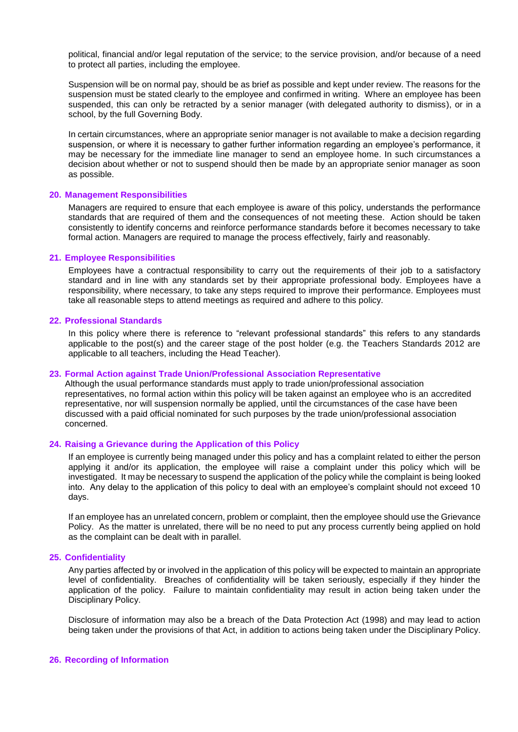political, financial and/or legal reputation of the service; to the service provision, and/or because of a need to protect all parties, including the employee.

Suspension will be on normal pay, should be as brief as possible and kept under review. The reasons for the suspension must be stated clearly to the employee and confirmed in writing. Where an employee has been suspended, this can only be retracted by a senior manager (with delegated authority to dismiss), or in a school, by the full Governing Body.

In certain circumstances, where an appropriate senior manager is not available to make a decision regarding suspension, or where it is necessary to gather further information regarding an employee's performance, it may be necessary for the immediate line manager to send an employee home. In such circumstances a decision about whether or not to suspend should then be made by an appropriate senior manager as soon as possible.

## **20. Management Responsibilities**

Managers are required to ensure that each employee is aware of this policy, understands the performance standards that are required of them and the consequences of not meeting these. Action should be taken consistently to identify concerns and reinforce performance standards before it becomes necessary to take formal action. Managers are required to manage the process effectively, fairly and reasonably.

## **21. Employee Responsibilities**

Employees have a contractual responsibility to carry out the requirements of their job to a satisfactory standard and in line with any standards set by their appropriate professional body. Employees have a responsibility, where necessary, to take any steps required to improve their performance. Employees must take all reasonable steps to attend meetings as required and adhere to this policy.

## **22. Professional Standards**

In this policy where there is reference to "relevant professional standards" this refers to any standards applicable to the post(s) and the career stage of the post holder (e.g. the Teachers Standards 2012 are applicable to all teachers, including the Head Teacher).

#### **23. Formal Action against Trade Union/Professional Association Representative**

Although the usual performance standards must apply to trade union/professional association representatives, no formal action within this policy will be taken against an employee who is an accredited representative, nor will suspension normally be applied, until the circumstances of the case have been discussed with a paid official nominated for such purposes by the trade union/professional association concerned.

## **24. Raising a Grievance during the Application of this Policy**

If an employee is currently being managed under this policy and has a complaint related to either the person applying it and/or its application, the employee will raise a complaint under this policy which will be investigated. It may be necessary to suspend the application of the policy while the complaint is being looked into. Any delay to the application of this policy to deal with an employee's complaint should not exceed 10 days.

If an employee has an unrelated concern, problem or complaint, then the employee should use the Grievance Policy. As the matter is unrelated, there will be no need to put any process currently being applied on hold as the complaint can be dealt with in parallel.

## **25. Confidentiality**

Any parties affected by or involved in the application of this policy will be expected to maintain an appropriate level of confidentiality. Breaches of confidentiality will be taken seriously, especially if they hinder the application of the policy. Failure to maintain confidentiality may result in action being taken under the Disciplinary Policy.

Disclosure of information may also be a breach of the Data Protection Act (1998) and may lead to action being taken under the provisions of that Act, in addition to actions being taken under the Disciplinary Policy.

#### **26. Recording of Information**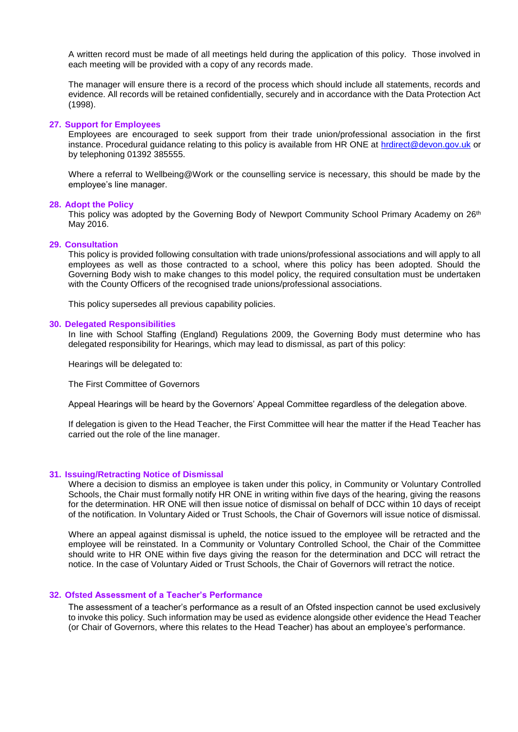A written record must be made of all meetings held during the application of this policy. Those involved in each meeting will be provided with a copy of any records made.

The manager will ensure there is a record of the process which should include all statements, records and evidence. All records will be retained confidentially, securely and in accordance with the Data Protection Act (1998).

## **27. Support for Employees**

Employees are encouraged to seek support from their trade union/professional association in the first instance. Procedural guidance relating to this policy is available from HR ONE at [hrdirect@devon.gov.uk](mailto:hrdirect@devon.gov.uk) or by telephoning 01392 385555.

Where a referral to Wellbeing@Work or the counselling service is necessary, this should be made by the employee's line manager.

## **28. Adopt the Policy**

This policy was adopted by the Governing Body of Newport Community School Primary Academy on 26<sup>th</sup> May 2016.

#### **29. Consultation**

This policy is provided following consultation with trade unions/professional associations and will apply to all employees as well as those contracted to a school, where this policy has been adopted. Should the Governing Body wish to make changes to this model policy, the required consultation must be undertaken with the County Officers of the recognised trade unions/professional associations.

This policy supersedes all previous capability policies.

#### **30. Delegated Responsibilities**

In line with School Staffing (England) Regulations 2009, the Governing Body must determine who has delegated responsibility for Hearings, which may lead to dismissal, as part of this policy:

Hearings will be delegated to:

The First Committee of Governors

Appeal Hearings will be heard by the Governors' Appeal Committee regardless of the delegation above.

If delegation is given to the Head Teacher, the First Committee will hear the matter if the Head Teacher has carried out the role of the line manager.

## **31. Issuing/Retracting Notice of Dismissal**

Where a decision to dismiss an employee is taken under this policy, in Community or Voluntary Controlled Schools, the Chair must formally notify HR ONE in writing within five days of the hearing, giving the reasons for the determination. HR ONE will then issue notice of dismissal on behalf of DCC within 10 days of receipt of the notification. In Voluntary Aided or Trust Schools, the Chair of Governors will issue notice of dismissal.

Where an appeal against dismissal is upheld, the notice issued to the employee will be retracted and the employee will be reinstated. In a Community or Voluntary Controlled School, the Chair of the Committee should write to HR ONE within five days giving the reason for the determination and DCC will retract the notice. In the case of Voluntary Aided or Trust Schools, the Chair of Governors will retract the notice.

## **32. Ofsted Assessment of a Teacher's Performance**

The assessment of a teacher's performance as a result of an Ofsted inspection cannot be used exclusively to invoke this policy. Such information may be used as evidence alongside other evidence the Head Teacher (or Chair of Governors, where this relates to the Head Teacher) has about an employee's performance.